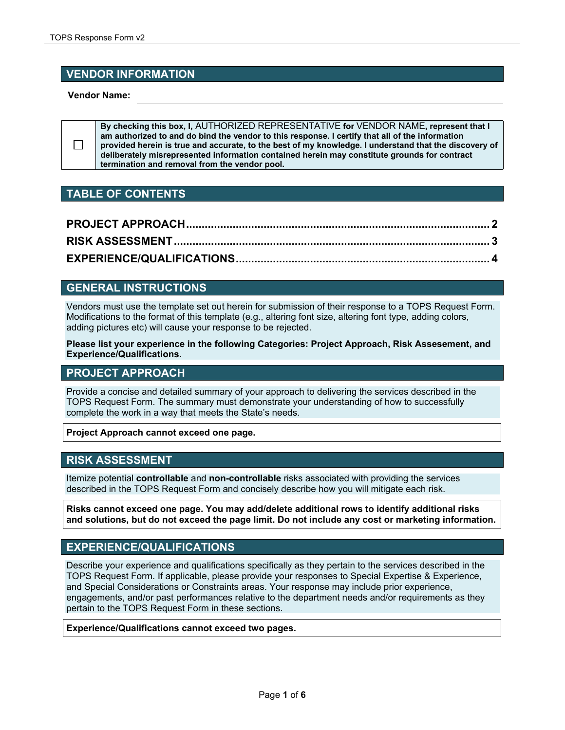# **VENDOR INFORMATION**

**Vendor Name:**

 $\Box$ 

**By checking this box, I,** AUTHORIZED REPRESENTATIVE **for** VENDOR NAME**, represent that I am authorized to and do bind the vendor to this response. I certify that all of the information provided herein is true and accurate, to the best of my knowledge. I understand that the discovery of deliberately misrepresented information contained herein may constitute grounds for contract termination and removal from the vendor pool.** 

# **TABLE OF CONTENTS**

# **GENERAL INSTRUCTIONS**

Vendors must use the template set out herein for submission of their response to a TOPS Request Form. Modifications to the format of this template (e.g., altering font size, altering font type, adding colors, adding pictures etc) will cause your response to be rejected.

**Please list your experience in the following Categories: Project Approach, Risk Assesement, and Experience/Qualifications.** 

### **PROJECT APPROACH**

Provide a concise and detailed summary of your approach to delivering the services described in the TOPS Request Form. The summary must demonstrate your understanding of how to successfully complete the work in a way that meets the State's needs.

**Project Approach cannot exceed one page.** 

### **RISK ASSESSMENT**

Itemize potential **controllable** and **non-controllable** risks associated with providing the services described in the TOPS Request Form and concisely describe how you will mitigate each risk.

**Risks cannot exceed one page. You may add/delete additional rows to identify additional risks and solutions, but do not exceed the page limit. Do not include any cost or marketing information.**

### **EXPERIENCE/QUALIFICATIONS**

Describe your experience and qualifications specifically as they pertain to the services described in the TOPS Request Form. If applicable, please provide your responses to Special Expertise & Experience, and Special Considerations or Constraints areas. Your response may include prior experience, engagements, and/or past performances relative to the department needs and/or requirements as they pertain to the TOPS Request Form in these sections.

**Experience/Qualifications cannot exceed two pages.**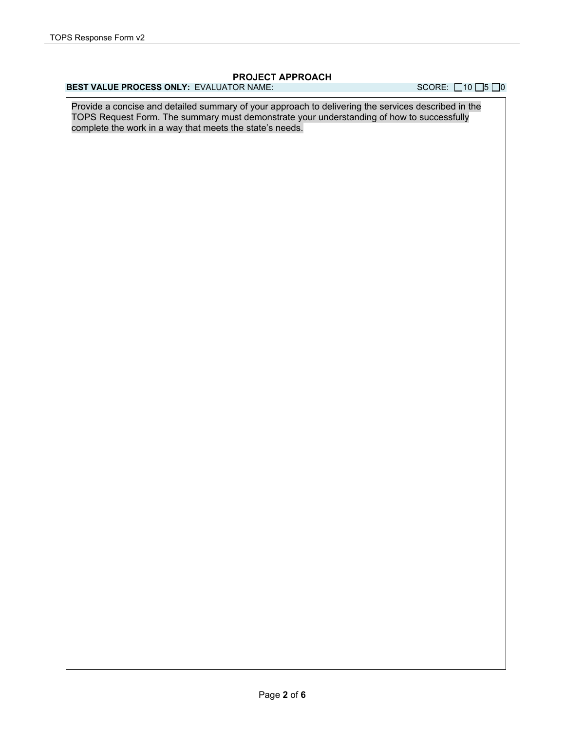### **PROJECT APPROACH**

# **BEST VALUE PROCESS ONLY:** EVALUATOR NAME: SCORE: □10 □5 □0

Provide a concise and detailed summary of your approach to delivering the services described in the TOPS Request Form. The summary must demonstrate your understanding of how to successfully complete the work in a way that meets the state's needs.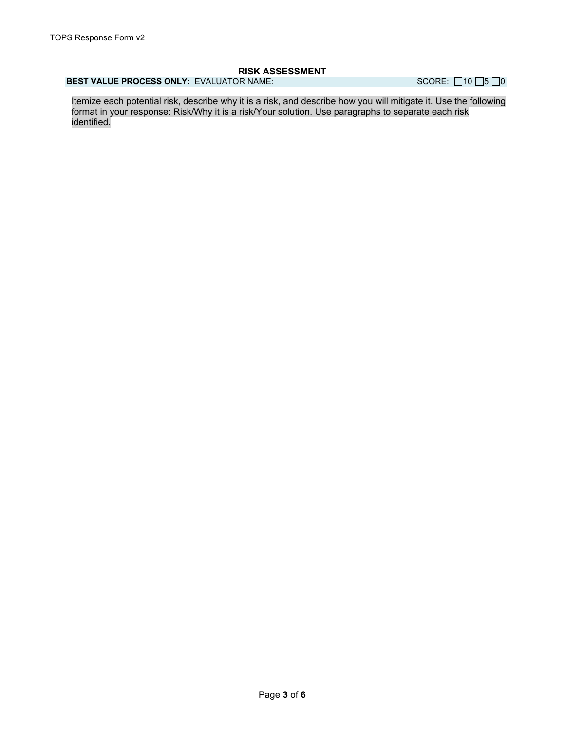#### **RISK ASSESSMENT**

### **BEST VALUE PROCESS ONLY:** EVALUATOR NAME: SCORE: 210 **15 0**

Itemize each potential risk, describe why it is a risk, and describe how you will mitigate it. Use the following format in your response: Risk/Why it is a risk/Your solution. Use paragraphs to separate each risk identified.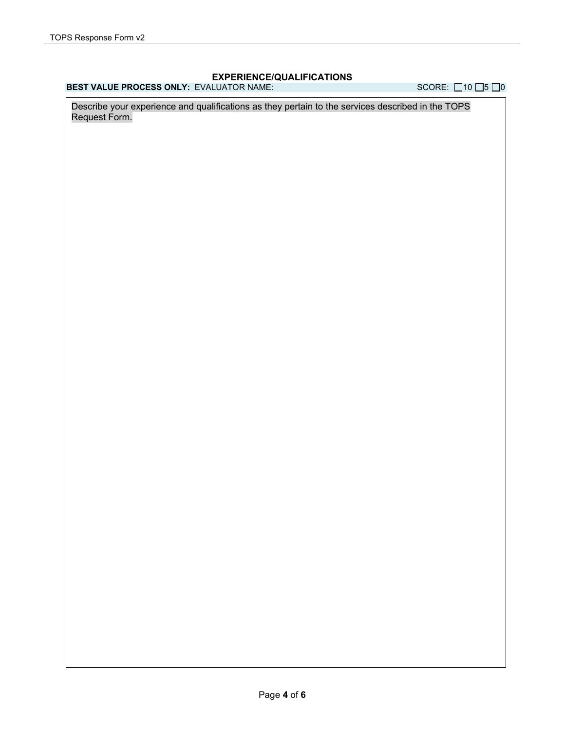### **EXPERIENCE/QUALIFICATIONS**

**BEST VALUE PROCESS ONLY:** EVALUATOR NAME: SCORE: □10 □5 □0

Describe your experience and qualifications as they pertain to the services described in the TOPS Request Form.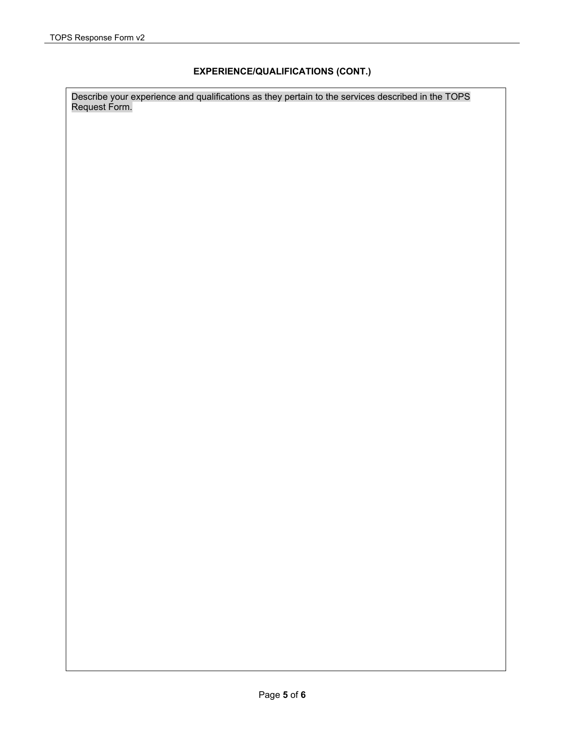### **EXPERIENCE/QUALIFICATIONS (CONT.)**

Describe your experience and qualifications as they pertain to the services described in the TOPS Request Form.